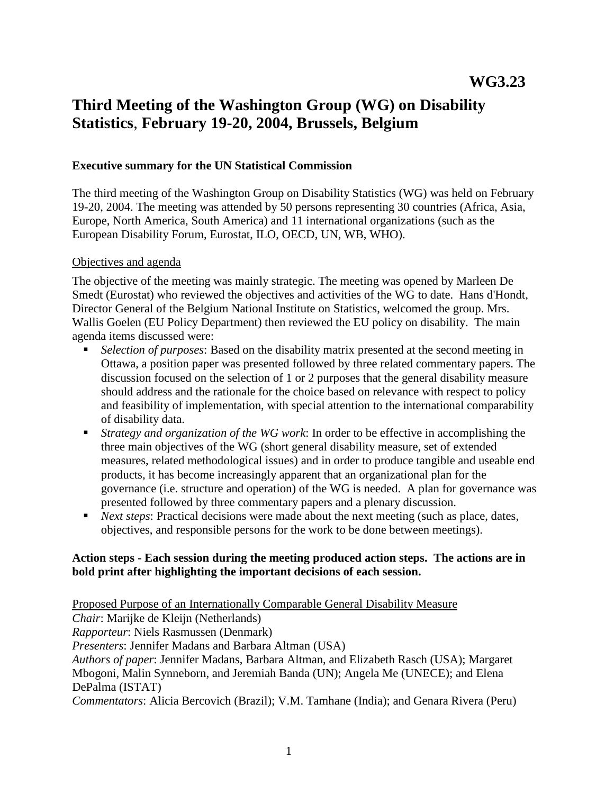# **Third Meeting of the Washington Group (WG) on Disability Statistics**, **February 19-20, 2004, Brussels, Belgium**

#### **Executive summary for the UN Statistical Commission**

The third meeting of the Washington Group on Disability Statistics (WG) was held on February 19-20, 2004. The meeting was attended by 50 persons representing 30 countries (Africa, Asia, Europe, North America, South America) and 11 international organizations (such as the European Disability Forum, Eurostat, ILO, OECD, UN, WB, WHO).

#### Objectives and agenda

The objective of the meeting was mainly strategic. The meeting was opened by Marleen De Smedt (Eurostat) who reviewed the objectives and activities of the WG to date. Hans d'Hondt, Director General of the Belgium National Institute on Statistics, welcomed the group. Mrs. Wallis Goelen (EU Policy Department) then reviewed the EU policy on disability. The main agenda items discussed were:

- *Selection of purposes*: Based on the disability matrix presented at the second meeting in Ottawa, a position paper was presented followed by three related commentary papers. The discussion focused on the selection of 1 or 2 purposes that the general disability measure should address and the rationale for the choice based on relevance with respect to policy and feasibility of implementation, with special attention to the international comparability of disability data.
- *Strategy and organization of the WG work*: In order to be effective in accomplishing the three main objectives of the WG (short general disability measure, set of extended measures, related methodological issues) and in order to produce tangible and useable end products, it has become increasingly apparent that an organizational plan for the governance (i.e. structure and operation) of the WG is needed. A plan for governance was presented followed by three commentary papers and a plenary discussion.
- *Next steps*: Practical decisions were made about the next meeting (such as place, dates, objectives, and responsible persons for the work to be done between meetings).

#### **Action steps - Each session during the meeting produced action steps. The actions are in bold print after highlighting the important decisions of each session.**

Proposed Purpose of an Internationally Comparable General Disability Measure *Chair*: Marijke de Kleijn (Netherlands) *Rapporteur*: Niels Rasmussen (Denmark) *Presenters*: Jennifer Madans and Barbara Altman (USA) *Authors of paper*: Jennifer Madans, Barbara Altman, and Elizabeth Rasch (USA); Margaret Mbogoni, Malin Synneborn, and Jeremiah Banda (UN); Angela Me (UNECE); and Elena DePalma (ISTAT) *Commentators*: Alicia Bercovich (Brazil); V.M. Tamhane (India); and Genara Rivera (Peru)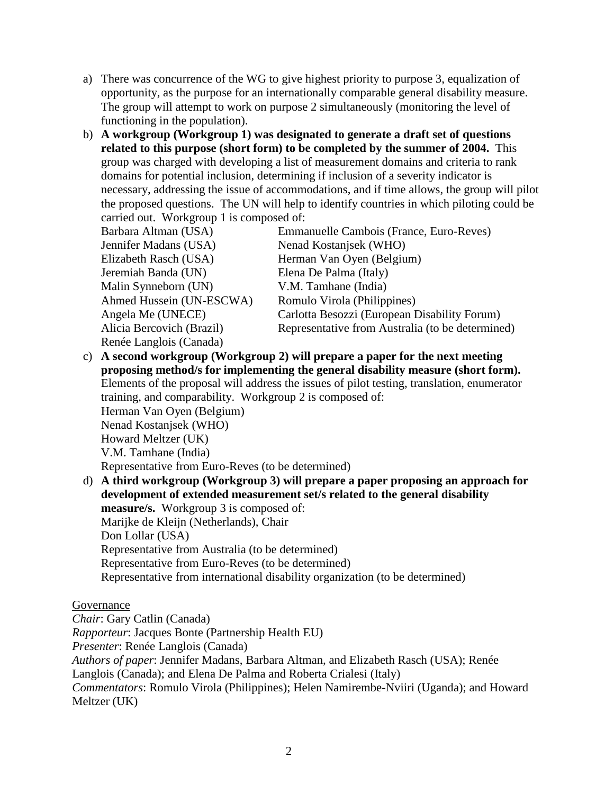- a) There was concurrence of the WG to give highest priority to purpose 3, equalization of opportunity, as the purpose for an internationally comparable general disability measure. The group will attempt to work on purpose 2 simultaneously (monitoring the level of functioning in the population).
- b) **A workgroup (Workgroup 1) was designated to generate a draft set of questions related to this purpose (short form) to be completed by the summer of 2004.** This group was charged with developing a list of measurement domains and criteria to rank domains for potential inclusion, determining if inclusion of a severity indicator is necessary, addressing the issue of accommodations, and if time allows, the group will pilot the proposed questions. The UN will help to identify countries in which piloting could be carried out. Workgroup 1 is composed of:

| Barbara Altman (USA)      | Emmanuelle Cambois (France, Euro-Reves)          |
|---------------------------|--------------------------------------------------|
| Jennifer Madans (USA)     | Nenad Kostanjsek (WHO)                           |
| Elizabeth Rasch (USA)     | Herman Van Oyen (Belgium)                        |
| Jeremiah Banda (UN)       | Elena De Palma (Italy)                           |
| Malin Synneborn (UN)      | V.M. Tamhane (India)                             |
| Ahmed Hussein (UN-ESCWA)  | Romulo Virola (Philippines)                      |
| Angela Me (UNECE)         | Carlotta Besozzi (European Disability Forum)     |
| Alicia Bercovich (Brazil) | Representative from Australia (to be determined) |
| Renée Langlois (Canada)   |                                                  |

c) **A second workgroup (Workgroup 2) will prepare a paper for the next meeting proposing method/s for implementing the general disability measure (short form).** Elements of the proposal will address the issues of pilot testing, translation, enumerator training, and comparability. Workgroup 2 is composed of: Herman Van Oyen (Belgium) Nenad Kostanjsek (WHO) Howard Meltzer (UK)

V.M. Tamhane (India)

Representative from Euro-Reves (to be determined)

d) **A third workgroup (Workgroup 3) will prepare a paper proposing an approach for development of extended measurement set/s related to the general disability measure/s.** Workgroup 3 is composed of: Marijke de Kleijn (Netherlands), Chair Don Lollar (USA) Representative from Australia (to be determined) Representative from Euro-Reves (to be determined) Representative from international disability organization (to be determined)

## Governance

*Chair*: Gary Catlin (Canada)

*Rapporteur*: Jacques Bonte (Partnership Health EU)

*Presenter*: Renée Langlois (Canada)

*Authors of paper*: Jennifer Madans, Barbara Altman, and Elizabeth Rasch (USA); Renée

Langlois (Canada); and Elena De Palma and Roberta Crialesi (Italy)

*Commentators*: Romulo Virola (Philippines); Helen Namirembe-Nviiri (Uganda); and Howard Meltzer (UK)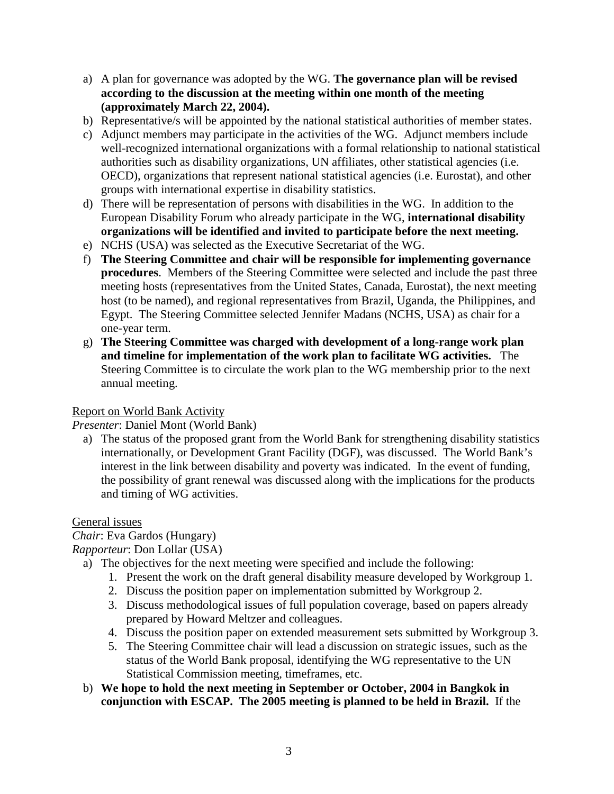- a) A plan for governance was adopted by the WG. **The governance plan will be revised according to the discussion at the meeting within one month of the meeting (approximately March 22, 2004).**
- b) Representative/s will be appointed by the national statistical authorities of member states.
- c) Adjunct members may participate in the activities of the WG. Adjunct members include well-recognized international organizations with a formal relationship to national statistical authorities such as disability organizations, UN affiliates, other statistical agencies (i.e. OECD), organizations that represent national statistical agencies (i.e. Eurostat), and other groups with international expertise in disability statistics.
- d) There will be representation of persons with disabilities in the WG. In addition to the European Disability Forum who already participate in the WG, **international disability organizations will be identified and invited to participate before the next meeting.**
- e) NCHS (USA) was selected as the Executive Secretariat of the WG.
- f) **The Steering Committee and chair will be responsible for implementing governance procedures**. Members of the Steering Committee were selected and include the past three meeting hosts (representatives from the United States, Canada, Eurostat), the next meeting host (to be named), and regional representatives from Brazil, Uganda, the Philippines, and Egypt. The Steering Committee selected Jennifer Madans (NCHS, USA) as chair for a one-year term.
- g) **The Steering Committee was charged with development of a long-range work plan and timeline for implementation of the work plan to facilitate WG activities.** The Steering Committee is to circulate the work plan to the WG membership prior to the next annual meeting.

### Report on World Bank Activity

*Presenter*: Daniel Mont (World Bank)

a) The status of the proposed grant from the World Bank for strengthening disability statistics internationally, or Development Grant Facility (DGF), was discussed. The World Bank's interest in the link between disability and poverty was indicated. In the event of funding, the possibility of grant renewal was discussed along with the implications for the products and timing of WG activities.

General issues

*Chair*: Eva Gardos (Hungary)

*Rapporteur*: Don Lollar (USA)

- a) The objectives for the next meeting were specified and include the following:
	- 1. Present the work on the draft general disability measure developed by Workgroup 1.
	- 2. Discuss the position paper on implementation submitted by Workgroup 2.
	- 3. Discuss methodological issues of full population coverage, based on papers already prepared by Howard Meltzer and colleagues.
	- 4. Discuss the position paper on extended measurement sets submitted by Workgroup 3.
	- 5. The Steering Committee chair will lead a discussion on strategic issues, such as the status of the World Bank proposal, identifying the WG representative to the UN Statistical Commission meeting, timeframes, etc.
- b) **We hope to hold the next meeting in September or October, 2004 in Bangkok in conjunction with ESCAP. The 2005 meeting is planned to be held in Brazil.** If the